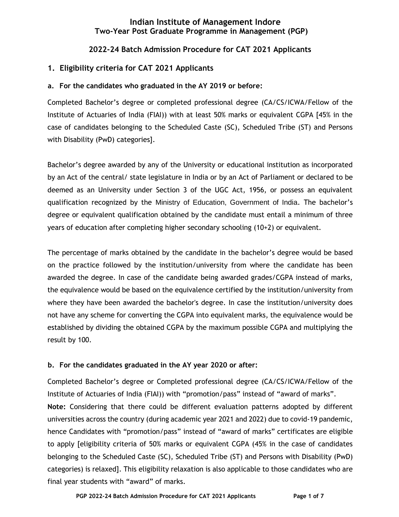## **Indian Institute of Management Indore Two-Year Post Graduate Programme in Management (PGP)**

## **2022-24 Batch Admission Procedure for CAT 2021 Applicants**

## **1. Eligibility criteria for CAT 2021 Applicants**

### **a. For the candidates who graduated in the AY 2019 or before:**

Completed Bachelor's degree or completed professional degree (CA/CS/ICWA/Fellow of the Institute of Actuaries of India (FIAI)) with at least 50% marks or equivalent CGPA [45% in the case of candidates belonging to the Scheduled Caste (SC), Scheduled Tribe (ST) and Persons with Disability (PwD) categories].

Bachelor's degree awarded by any of the University or educational institution as incorporated by an Act of the central/ state legislature in India or by an Act of Parliament or declared to be deemed as an University under Section 3 of the UGC Act, 1956, or possess an equivalent qualification recognized by the Ministry of Education, Government of India. The bachelor's degree or equivalent qualification obtained by the candidate must entail a minimum of three years of education after completing higher secondary schooling (10+2) or equivalent.

The percentage of marks obtained by the candidate in the bachelor's degree would be based on the practice followed by the institution/university from where the candidate has been awarded the degree. In case of the candidate being awarded grades/CGPA instead of marks, the equivalence would be based on the equivalence certified by the institution/university from where they have been awarded the bachelor's degree. In case the institution/university does not have any scheme for converting the CGPA into equivalent marks, the equivalence would be established by dividing the obtained CGPA by the maximum possible CGPA and multiplying the result by 100.

#### **b. For the candidates graduated in the AY year 2020 or after:**

Completed Bachelor's degree or Completed professional degree (CA/CS/ICWA/Fellow of the Institute of Actuaries of India (FIAI)) with "promotion/pass" instead of "award of marks". **Note:** Considering that there could be different evaluation patterns adopted by different universities across the country (during academic year 2021 and 2022) due to covid-19 pandemic, hence Candidates with "promotion/pass" instead of "award of marks" certificates are eligible to apply [eligibility criteria of 50% marks or equivalent CGPA (45% in the case of candidates belonging to the Scheduled Caste (SC), Scheduled Tribe (ST) and Persons with Disability (PwD) categories) is relaxed]. This eligibility relaxation is also applicable to those candidates who are final year students with "award" of marks.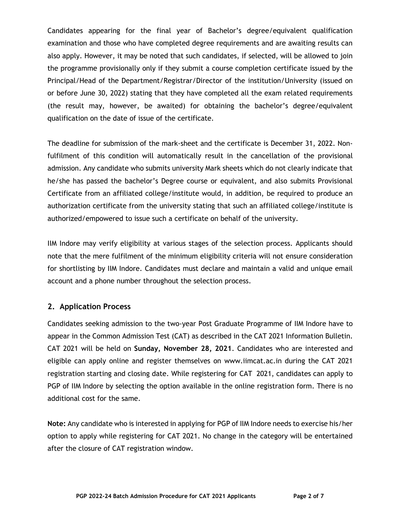Candidates appearing for the final year of Bachelor's degree/equivalent qualification examination and those who have completed degree requirements and are awaiting results can also apply. However, it may be noted that such candidates, if selected, will be allowed to join the programme provisionally only if they submit a course completion certificate issued by the Principal/Head of the Department/Registrar/Director of the institution/University (issued on or before June 30, 2022) stating that they have completed all the exam related requirements (the result may, however, be awaited) for obtaining the bachelor's degree/equivalent qualification on the date of issue of the certificate.

The deadline for submission of the mark-sheet and the certificate is December 31, 2022. Nonfulfilment of this condition will automatically result in the cancellation of the provisional admission. Any candidate who submits university Mark sheets which do not clearly indicate that he/she has passed the bachelor's Degree course or equivalent, and also submits Provisional Certificate from an affiliated college/institute would, in addition, be required to produce an authorization certificate from the university stating that such an affiliated college/institute is authorized/empowered to issue such a certificate on behalf of the university.

IIM Indore may verify eligibility at various stages of the selection process. Applicants should note that the mere fulfilment of the minimum eligibility criteria will not ensure consideration for shortlisting by IIM Indore. Candidates must declare and maintain a valid and unique email account and a phone number throughout the selection process.

## **2. Application Process**

Candidates seeking admission to the two-year Post Graduate Programme of IIM Indore have to appear in the Common Admission Test (CAT) as described in the CAT 2021 Information Bulletin. CAT 2021 will be held on **Sunday, November 28, 2021**. Candidates who are interested and eligible can apply online and register themselves on [www.iimcat.ac.in d](http://www.iimcat.ac.in/)uring the CAT 2021 registration starting and closing date. While registering for CAT 2021, candidates can apply to PGP of IIM Indore by selecting the option available in the online registration form. There is no additional cost for the same.

**Note:** Any candidate who is interested in applying for PGP of IIM Indore needs to exercise his/her option to apply while registering for CAT 2021. No change in the category will be entertained after the closure of CAT registration window.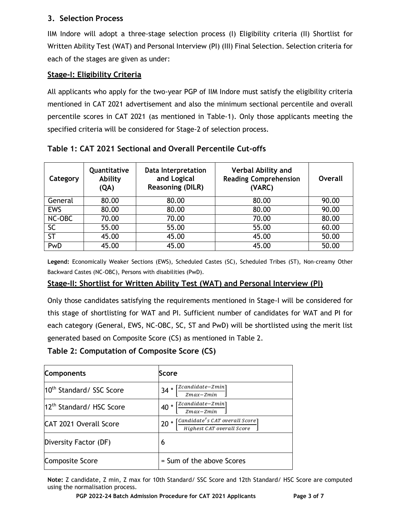## **3. Selection Process**

IIM Indore will adopt a three-stage selection process (I) Eligibility criteria (II) Shortlist for Written Ability Test (WAT) and Personal Interview (PI) (III) Final Selection. Selection criteria for each of the stages are given as under:

# **Stage-I: Eligibility Criteria**

All applicants who apply for the two-year PGP of IIM Indore must satisfy the eligibility criteria mentioned in CAT 2021 advertisement and also the minimum sectional percentile and overall percentile scores in CAT 2021 (as mentioned in Table-1). Only those applicants meeting the specified criteria will be considered for Stage-2 of selection process.

| Category   | Quantitative<br>Ability<br>(QA) | <b>Data Interpretation</b><br>and Logical<br><b>Reasoning (DILR)</b> | <b>Verbal Ability and</b><br><b>Reading Comprehension</b><br>(VARC) | Overall |
|------------|---------------------------------|----------------------------------------------------------------------|---------------------------------------------------------------------|---------|
| General    | 80.00                           | 80.00                                                                | 80.00                                                               | 90.00   |
| <b>EWS</b> | 80.00                           | 80.00                                                                | 80.00                                                               | 90.00   |
| NC-OBC     | 70.00                           | 70.00                                                                | 70.00                                                               | 80.00   |
| <b>SC</b>  | 55.00                           | 55.00                                                                | 55.00                                                               | 60.00   |
| <b>ST</b>  | 45.00                           | 45.00                                                                | 45.00                                                               | 50.00   |
| PwD        | 45.00                           | 45.00                                                                | 45.00                                                               | 50.00   |

**Table 1: CAT 2021 Sectional and Overall Percentile Cut-offs**

**Legend:** Economically Weaker Sections (EWS), Scheduled Castes (SC), Scheduled Tribes (ST), Non-creamy Other Backward Castes (NC-OBC), Persons with disabilities (PwD).

## **Stage-II: Shortlist for Written Ability Test (WAT) and Personal Interview (PI)**

Only those candidates satisfying the requirements mentioned in Stage-I will be considered for this stage of shortlisting for WAT and PI. Sufficient number of candidates for WAT and PI for each category (General, EWS, NC-OBC, SC, ST and PwD) will be shortlisted using the merit list generated based on Composite Score (CS) as mentioned in Table 2.

**Table 2: Computation of Composite Score (CS)**

| <b>Components</b>                    | Score                                                                                                                                                                                                                                                                                                                                                                                                                                                                                                                                                                                                                  |
|--------------------------------------|------------------------------------------------------------------------------------------------------------------------------------------------------------------------------------------------------------------------------------------------------------------------------------------------------------------------------------------------------------------------------------------------------------------------------------------------------------------------------------------------------------------------------------------------------------------------------------------------------------------------|
| 10 <sup>th</sup> Standard/ SSC Score | $[Zcandidate-Zmin] % \begin{minipage}[c]{0.5\linewidth} \centering \centerline{\includegraphics[width=0.5\linewidth]{pss-11000a.pdf}} \centerline{\includegraphics[width=0.5\linewidth]{pss-11000a.pdf}} \centerline{\includegraphics[width=0.5\linewidth]{pss-11000a.pdf}} \centerline{\includegraphics[width=0.5\linewidth]{pss-11000a.pdf}} \centerline{\includegraphics[width=0.5\linewidth]{pss-11000a.pdf}} \centerline{\includegraphics[width=0.5\linewidth]{pss-11000a.pdf}} \centerline{\includegraphics[width=0.5\linewidth]{pss-11000a.pdf}} \centerline{\includegraphics[width=0$<br>$34 *$<br>$Zmax-Zmin$ |
| 12 <sup>th</sup> Standard/ HSC Score | [Zcandidate-Zmin]<br>$40*$<br>$Zmax-Zmin$                                                                                                                                                                                                                                                                                                                                                                                                                                                                                                                                                                              |
| <b>CAT 2021 Overall Score</b>        | $20 * [$ Candidate's CAT overall Score<br>Highest CAT overall Score                                                                                                                                                                                                                                                                                                                                                                                                                                                                                                                                                    |
| Diversity Factor (DF)                | 6                                                                                                                                                                                                                                                                                                                                                                                                                                                                                                                                                                                                                      |
| <b>Composite Score</b>               | = Sum of the above Scores                                                                                                                                                                                                                                                                                                                                                                                                                                                                                                                                                                                              |

**Note:** Z candidate, Z min, Z max for 10th Standard/ SSC Score and 12th Standard/ HSC Score are computed using the normalisation process.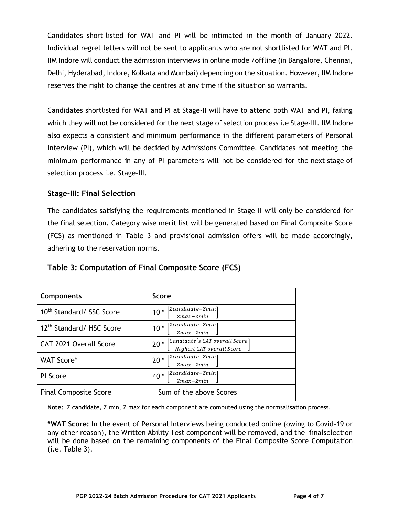Candidates short-listed for WAT and PI will be intimated in the month of January 2022. Individual regret letters will not be sent to applicants who are not shortlisted for WAT and PI. IIM Indore will conduct the admission interviews in online mode /offline (in Bangalore, Chennai, Delhi, Hyderabad, Indore, Kolkata and Mumbai) depending on the situation. However, IIM Indore reserves the right to change the centres at any time if the situation so warrants.

Candidates shortlisted for WAT and PI at Stage-II will have to attend both WAT and PI, failing which they will not be considered for the next stage of selection process i.e Stage-III. IIM Indore also expects a consistent and minimum performance in the different parameters of Personal Interview (PI), which will be decided by Admissions Committee. Candidates not meeting the minimum performance in any of PI parameters will not be considered for the next stage of selection process i.e. Stage-III.

## **Stage-III: Final Selection**

The candidates satisfying the requirements mentioned in Stage-II will only be considered for the final selection. Category wise merit list will be generated based on Final Composite Score (FCS) as mentioned in Table 3 and provisional admission offers will be made accordingly, adhering to the reservation norms.

| Table 3: Computation of Final Composite Score (FCS) |  |
|-----------------------------------------------------|--|
|                                                     |  |

| <b>Components</b>                    | <b>Score</b>                                                                                                                               |
|--------------------------------------|--------------------------------------------------------------------------------------------------------------------------------------------|
| 10 <sup>th</sup> Standard/ SSC Score | `Zcandidate–Zmin`<br>$10 *$<br>$Zmax-Zmin$                                                                                                 |
| 12 <sup>th</sup> Standard/ HSC Score | [Zcandidate–Zmin]<br>$10*$<br>$Zmax-Zmin$                                                                                                  |
| CAT 2021 Overall Score               | $\left \lceil \textit{Candidate}'s \ \textit{CAT} \ over all \ \textit{Score} \right \rceil$<br>$\star$<br>20<br>Highest CAT overall Score |
| WAT Score*                           | 'Zcandidate–Zmin <sup>-</sup><br>$20*$<br>$Zmax-Zmin$                                                                                      |
| PI Score                             | `Zcandidate–Zmin`<br>40 *<br>$Zmax-Zmin$                                                                                                   |
| <b>Final Composite Score</b>         | = Sum of the above Scores                                                                                                                  |

**Note:** Z candidate, Z min, Z max for each component are computed using the normsalisation process.

**\*WAT Score:** In the event of Personal Interviews being conducted online (owing to Covid-19 or any other reason), the Written Ability Test component will be removed, and the finalselection will be done based on the remaining components of the Final Composite Score Computation (i.e. Table 3).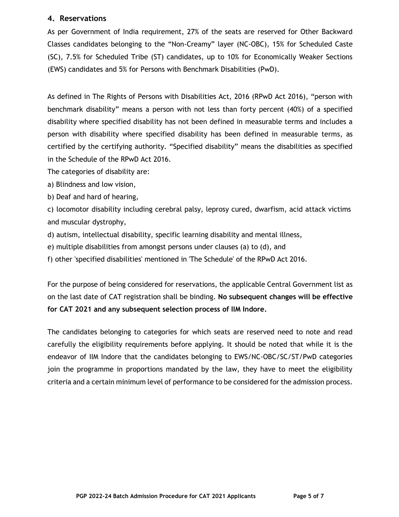### **4. Reservations**

As per Government of India requirement, 27% of the seats are reserved for Other Backward Classes candidates belonging to the "Non-Creamy" layer (NC-OBC), 15% for Scheduled Caste (SC), 7.5% for Scheduled Tribe (ST) candidates, up to 10% for Economically Weaker Sections (EWS) candidates and 5% for Persons with Benchmark Disabilities (PwD).

As defined in The Rights of Persons with Disabilities Act, 2016 (RPwD Act 2016), "person with benchmark disability" means a person with not less than forty percent (40%) of a specified disability where specified disability has not been defined in measurable terms and includes a person with disability where specified disability has been defined in measurable terms, as certified by the certifying authority. "Specified disability" means the disabilities as specified in the Schedule of the RPwD Act 2016.

The categories of disability are:

a) Blindness and low vision,

b) Deaf and hard of hearing,

c) locomotor disability including cerebral palsy, leprosy cured, dwarfism, acid attack victims and muscular dystrophy,

d) autism, intellectual disability, specific learning disability and mental illness,

e) multiple disabilities from amongst persons under clauses (a) to (d), and

f) other 'specified disabilities' mentioned in 'The Schedule' of the RPwD Act 2016.

For the purpose of being considered for reservations, the applicable Central Government list as on the last date of CAT registration shall be binding. **No subsequent changes will be effective for CAT 2021 and any subsequent selection process of IIM Indore.**

The candidates belonging to categories for which seats are reserved need to note and read carefully the eligibility requirements before applying. It should be noted that while it is the endeavor of IIM Indore that the candidates belonging to EWS/NC-OBC/SC/ST/PwD categories join the programme in proportions mandated by the law, they have to meet the eligibility criteria and a certain minimum level of performance to be considered for the admission process.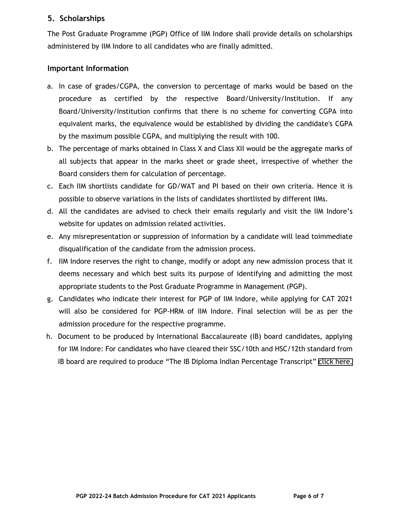### **5. Scholarships**

The Post Graduate Programme (PGP) Office of IIM Indore shall provide details on scholarships administered by IIM Indore to all candidates who are finally admitted.

### **Important Information**

- a. In case of grades/CGPA, the conversion to percentage of marks would be based on the procedure as certified by the respective Board/University/Institution. If any Board/University/Institution confirms that there is no scheme for converting CGPA into equivalent marks, the equivalence would be established by dividing the candidate's CGPA by the maximum possible CGPA, and multiplying the result with 100.
- b. The percentage of marks obtained in Class X and Class XII would be the aggregate marks of all subjects that appear in the marks sheet or grade sheet, irrespective of whether the Board considers them for calculation of percentage.
- c. Each IIM shortlists candidate for GD/WAT and PI based on their own criteria. Hence it is possible to observe variations in the lists of candidates shortlisted by different IIMs.
- d. All the candidates are advised to check their emails regularly and visit the IIM Indore's website for updates on admission related activities.
- e. Any misrepresentation or suppression of information by a candidate will lead toimmediate disqualification of the candidate from the admission process.
- f. IIM Indore reserves the right to change, modify or adopt any new admission process that it deems necessary and which best suits its purpose of identifying and admitting the most appropriate students to the Post Graduate Programme in Management (PGP).
- g. Candidates who indicate their interest for PGP of IIM Indore, while applying for CAT 2021 will also be considered for PGP-HRM of IIM Indore. Final selection will be as per the admission procedure for the respective programme.
- h. Document to be produced by International Baccalaureate (IB) board candidates, applying for IIM Indore: For candidates who have cleared their SSC/10th and HSC/12th standard from IB board are required to produce "The IB Diploma Indian Percentage Transcript" [click here.](https://www.iimidr.ac.in/wp-content/uploads/IB-Diploma-Indian-Percentage-Transcript.pdf)